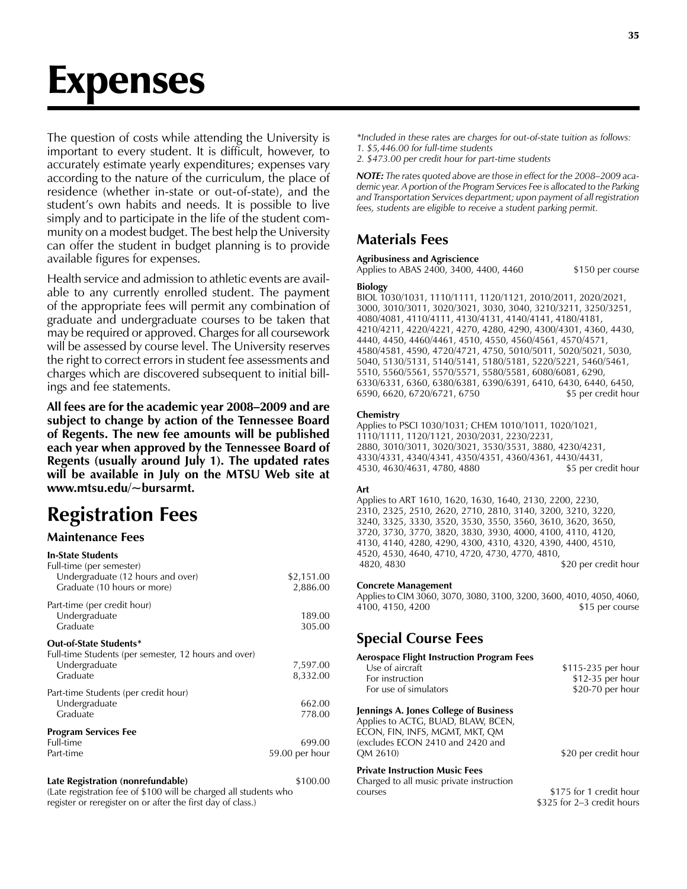# Expenses

The question of costs while attending the University is important to every student. It is difficult, however, to accurately estimate yearly expenditures; expenses vary according to the nature of the curriculum, the place of residence (whether in-state or out-of-state), and the student's own habits and needs. It is possible to live simply and to participate in the life of the student community on a modest budget. The best help the University can offer the student in budget planning is to provide available figures for expenses.

Health service and admission to athletic events are available to any currently enrolled student. The payment of the appropriate fees will permit any combination of graduate and undergraduate courses to be taken that may be required or approved. Charges for all coursework will be assessed by course level. The University reserves the right to correct errors in student fee assessments and charges which are discovered subsequent to initial billings and fee statements.

**All fees are for the academic year 2008–2009 and are subject to change by action of the Tennessee Board of Regents. The new fee amounts will be published each year when approved by the Tennessee Board of Regents (usually around July 1). The updated rates will be available in July on the MTSU Web site at www.mtsu.edu/~bursarmt.**

# **Registration Fees**

#### **Maintenance Fees**

| <b>In-State Students</b><br>Full-time (per semester)<br>Undergraduate (12 hours and over)<br>Graduate (10 hours or more) | \$2,151.00<br>2,886.00   |
|--------------------------------------------------------------------------------------------------------------------------|--------------------------|
| Part-time (per credit hour)<br>Undergraduate<br>Graduate                                                                 | 189.00<br>305.00         |
| Out-of-State Students*<br>Full-time Students (per semester, 12 hours and over)<br>Undergraduate<br>Graduate              | 7,597.00<br>8,332.00     |
| Part-time Students (per credit hour)<br>Undergraduate<br>Graduate                                                        | 662.00<br>778.00         |
| <b>Program Services Fee</b><br>Full-time<br>Part-time                                                                    | 699.00<br>59.00 per hour |
| Late Registration (nonrefundable)                                                                                        | \$100.00                 |

(Late registration fee of \$100 will be charged all students who register or reregister on or after the first day of class.)

*\*Included in these rates are charges for out-of-state tuition as follows: 1. \$5,446.00 for full-time students*

*2. \$473.00 per credit hour for part-time students*

*NOTE: The rates quoted above are those in effect for the 2008–2009 academic year. A portion of the Program Services Fee is allocated to the Parking and Transportation Services department; upon payment of all registration fees, students are eligible to receive a student parking permit.*

## **Materials Fees**

#### **Agribusiness and Agriscience**

Applies to ABAS 2400, 3400, 4400, 4460 \$150 per course

#### **Biology**

BIOL 1030/1031, 1110/1111, 1120/1121, 2010/2011, 2020/2021, 3000, 3010/3011, 3020/3021, 3030, 3040, 3210/3211, 3250/3251, 4080/4081, 4110/4111, 4130/4131, 4140/4141, 4180/4181, 4210/4211, 4220/4221, 4270, 4280, 4290, 4300/4301, 4360, 4430, 4440, 4450, 4460/4461, 4510, 4550, 4560/4561, 4570/4571, 4580/4581, 4590, 4720/4721, 4750, 5010/5011, 5020/5021, 5030, 5040, 5130/5131, 5140/5141, 5180/5181, 5220/5221, 5460/5461, 5510, 5560/5561, 5570/5571, 5580/5581, 6080/6081, 6290, 6330/6331, 6360, 6380/6381, 6390/6391, 6410, 6430, 6440, 6450, 6590, 6620, 6720/6721, 6750 \$5 per credit hour

#### **Chemistry**

Applies to PSCI 1030/1031; CHEM 1010/1011, 1020/1021, 1110/1111, 1120/1121, 2030/2031, 2230/2231, 2880, 3010/3011, 3020/3021, 3530/3531, 3880, 4230/4231, 4330/4331, 4340/4341, 4350/4351, 4360/4361, 4430/4431, 4530, 4630/4631, 4780, 4880 \$5 per credit hour

#### **Art**

Applies to ART 1610, 1620, 1630, 1640, 2130, 2200, 2230, 2310, 2325, 2510, 2620, 2710, 2810, 3140, 3200, 3210, 3220, 3240, 3325, 3330, 3520, 3530, 3550, 3560, 3610, 3620, 3650, 3720, 3730, 3770, 3820, 3830, 3930, 4000, 4100, 4110, 4120, 4130, 4140, 4280, 4290, 4300, 4310, 4320, 4390, 4400, 4510, 4520, 4530, 4640, 4710, 4720, 4730, 4770, 4810, 4820, 4830 \$20 per credit hour

#### **Concrete Management**

Applies to CIM 3060, 3070, 3080, 3100, 3200, 3600, 4010, 4050, 4060, 4100, 4150, 4200 \$15 per course

## **Special Course Fees**

#### **Aerospace Flight Instruction Program Fees**

| Use of aircraft       | \$115-235 per hour |
|-----------------------|--------------------|
| For instruction       | $$12-35$ per hour  |
| For use of simulators | $$20-70$ per hour  |
|                       |                    |

#### **Jennings A. Jones College of Business**

Applies to ACTG, BUAD, BLAW, BCEN, ECON, FIN, INFS, MGMT, MKT, QM (excludes ECON 2410 and 2420 and

#### **Private Instruction Music Fees**

Charged to all music private instruction courses  $$175$  for 1 credit hour

\$20 per credit hour

 \$325 for 2–3 credit hours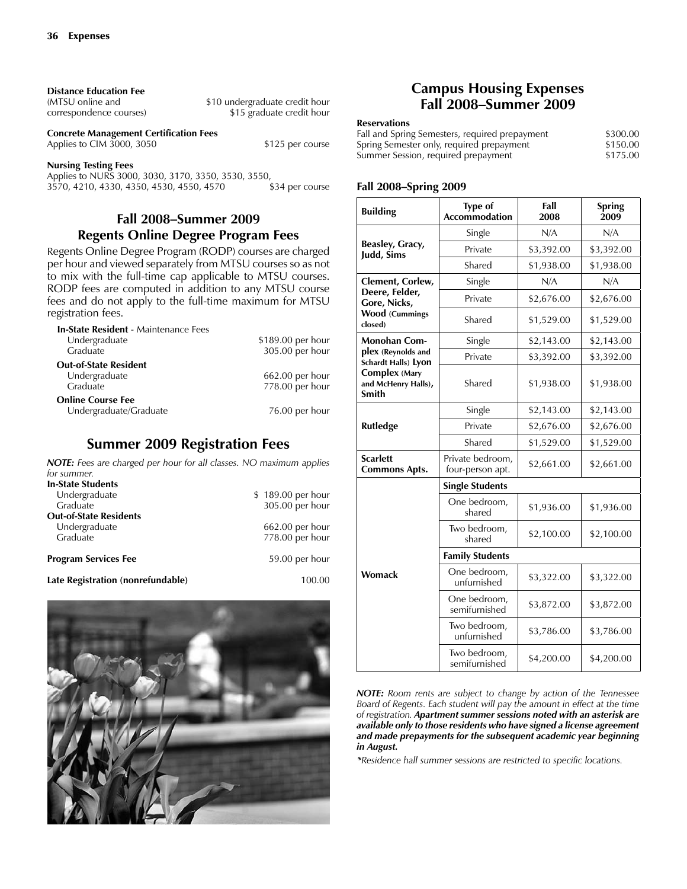| <b>Distance Education Fee</b> |  |
|-------------------------------|--|
|                               |  |

(MTSU online and  $$10$  undergraduate credit hour correspondence courses)  $$15$  graduate credit hour \$15 graduate credit hour

**Concrete Management Certification Fees** Applies to CIM 3000, 3050 \$125 per course

**Nursing Testing Fees**

Applies to NURS 3000, 3030, 3170, 3350, 3530, 3550, 3570, 4210, 4330, 4350, 4550, 4570 \$34 per course 3570, 4210, 4330, 4350, 4530, 4550, 4570

#### **Fall 2008–Summer 2009 Regents Online Degree Program Fees**

Regents Online Degree Program (RODP) courses are charged per hour and viewed separately from MTSU courses so as not to mix with the full-time cap applicable to MTSU courses. RODP fees are computed in addition to any MTSU course fees and do not apply to the full-time maximum for MTSU registration fees.

| <b>In-State Resident - Maintenance Fees</b> |                   |
|---------------------------------------------|-------------------|
| Undergraduate                               | \$189.00 per hour |
| Graduate                                    | 305.00 per hour   |
| <b>Out-of-State Resident</b>                |                   |
| Undergraduate                               | $662.00$ per hour |
| Graduate                                    | 778.00 per hour   |
| <b>Online Course Fee</b>                    |                   |
| Undergraduate/Graduate                      | 76.00 per hour    |

#### **Summer 2009 Registration Fees**

*NOTE: Fees are charged per hour for all classes. NO maximum applies for summer.*

| <b>In-State Students</b>          |                   |
|-----------------------------------|-------------------|
| Undergraduate                     | \$189.00 per hour |
| Graduate                          | 305.00 per hour   |
| <b>Out-of-State Residents</b>     |                   |
| Undergraduate                     | 662.00 per hour   |
| Graduate                          | 778.00 per hour   |
| <b>Program Services Fee</b>       | 59.00 per hour    |
| Late Registration (nonrefundable) | 100.00            |



#### **Campus Housing Expenses Fall 2008–Summer 2009**

#### **Reservations**

| Fall and Spring Semesters, required prepayment | \$300.00 |
|------------------------------------------------|----------|
| Spring Semester only, required prepayment      | \$150.00 |
| Summer Session, required prepayment            | \$175.00 |

#### **Fall 2008–Spring 2009**

| <b>Building</b>                                      | <b>Type of</b><br><b>Accommodation</b> | Fall<br>2008 | <b>Spring</b><br>2009 |
|------------------------------------------------------|----------------------------------------|--------------|-----------------------|
|                                                      | Single                                 | N/A          | N/A                   |
| Beasley, Gracy,<br>Judd, Sims                        | Private                                | \$3,392.00   | \$3,392.00            |
|                                                      | Shared                                 | \$1,938.00   | \$1,938.00            |
| Clement, Corlew,                                     | Single                                 | N/A          | N/A                   |
| Deere, Felder,<br>Gore, Nicks,                       | Private                                | \$2,676.00   | \$2,676.00            |
| <b>Wood (Cummings</b><br>closed)                     | Shared                                 | \$1,529.00   | \$1,529.00            |
| <b>Monohan Com-</b>                                  | Single                                 | \$2,143.00   | \$2,143.00            |
| plex (Reynolds and<br>Schardt Halls) Lyon            | Private                                | \$3,392.00   | \$3,392.00            |
| <b>Complex (Mary</b><br>and McHenry Halls),<br>Smith | Shared                                 | \$1,938.00   | \$1,938.00            |
|                                                      | Single                                 | \$2,143.00   | \$2,143.00            |
| <b>Rutledge</b>                                      | Private                                | \$2,676.00   | \$2,676.00            |
|                                                      | Shared                                 | \$1,529.00   | \$1,529.00            |
| <b>Scarlett</b><br><b>Commons Apts.</b>              | Private bedroom,<br>four-person apt.   | \$2,661.00   | \$2,661.00            |
| <b>Single Students</b>                               |                                        |              |                       |
|                                                      | One bedroom,<br>shared                 | \$1,936.00   | \$1,936.00            |
|                                                      | Two bedroom,<br>shared                 | \$2,100.00   | \$2,100.00            |
| <b>Family Students</b>                               |                                        |              |                       |
| <b>Womack</b>                                        | One bedroom,<br>unfurnished            | \$3,322.00   | \$3,322.00            |
|                                                      | One bedroom,<br>semifurnished          | \$3,872.00   | \$3,872.00            |
|                                                      | Two bedroom,<br>unfurnished            | \$3,786.00   | \$3,786.00            |
|                                                      | Two bedroom,<br>semifurnished          | \$4,200.00   | \$4,200.00            |

*NOTE: Room rents are subject to change by action of the Tennessee Board of Regents. Each student will pay the amount in effect at the time of registration. Apartment summer sessions noted with an asterisk are available only to those residents who have signed a license agreement and made prepayments for the subsequent academic year beginning in August.*

*\*Residence hall summer sessions are restricted to specific locations.*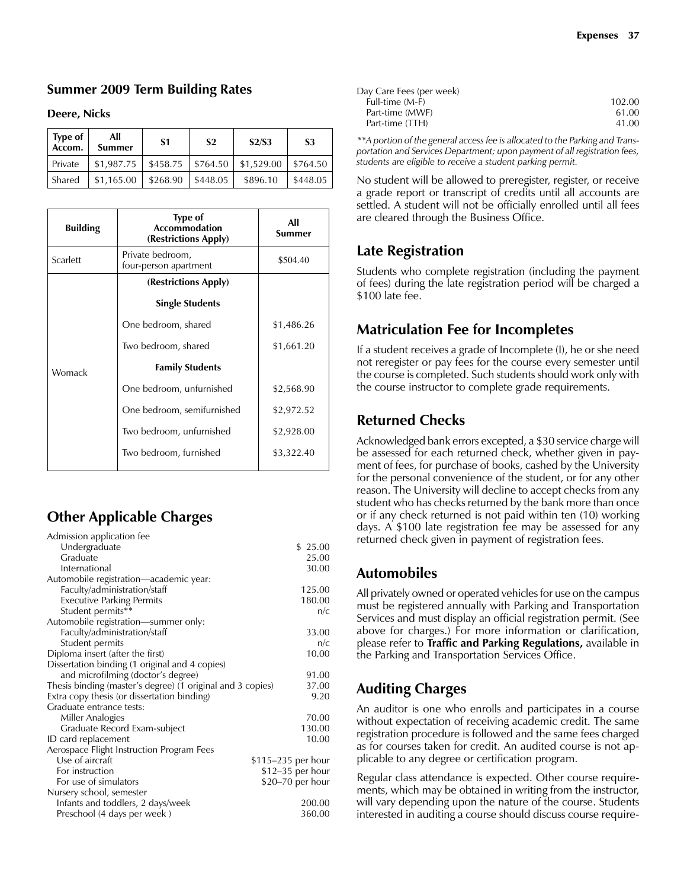#### **Summer 2009 Term Building Rates**

#### **Deere, Nicks**

| <b>Type of</b><br>Accom. | All<br><b>Summer</b> | S1                 | S <sub>2</sub>         | S2/S3                                        | S <sub>3</sub> |
|--------------------------|----------------------|--------------------|------------------------|----------------------------------------------|----------------|
| Private                  | \$1,987.75           |                    |                        | $$458.75$   \$764.50   \$1,529.00   \$764.50 |                |
| l Shared                 | \$1,165.00           | $\frac{1}{268.90}$ | $\frac{1}{2}$ \$448.05 | \$896.10                                     | \$448.05       |

| <b>Building</b> | <b>Type of</b><br><b>Accommodation</b><br>(Restrictions Apply) | All<br>Summer |
|-----------------|----------------------------------------------------------------|---------------|
| Scarlett        | Private bedroom,<br>four-person apartment                      | \$504.40      |
|                 | (Restrictions Apply)                                           |               |
|                 | <b>Single Students</b>                                         |               |
|                 | One bedroom, shared                                            | \$1,486.26    |
|                 | Two bedroom, shared                                            | \$1,661.20    |
| Womack          | <b>Family Students</b>                                         |               |
|                 | One bedroom, unfurnished                                       | \$2,568.90    |
|                 | One bedroom, semifurnished                                     | \$2,972.52    |
|                 | Two bedroom, unfurnished                                       | \$2,928.00    |
|                 | Two bedroom, furnished                                         | \$3,322.40    |

## **Other Applicable Charges**

| Admission application fee                                  |                    |
|------------------------------------------------------------|--------------------|
| Undergraduate                                              | \$ 25.00           |
| Graduate                                                   | 25.00              |
| International                                              | 30.00              |
| Automobile registration-academic year:                     |                    |
| Faculty/administration/staff                               | 125.00             |
| <b>Executive Parking Permits</b>                           | 180.00             |
| Student permits**                                          | n/c                |
| Automobile registration-summer only:                       |                    |
| Faculty/administration/staff                               | 33.00              |
| Student permits                                            | n/c                |
| Diploma insert (after the first)                           | 10.00              |
| Dissertation binding (1 original and 4 copies)             |                    |
| and microfilming (doctor's degree)                         | 91.00              |
| Thesis binding (master's degree) (1 original and 3 copies) | 37.00              |
| Extra copy thesis (or dissertation binding)                | 9.20               |
| Graduate entrance tests:                                   |                    |
| Miller Analogies                                           | 70.00              |
| Graduate Record Exam-subject                               | 130.00             |
| ID card replacement                                        | 10.00              |
| Aerospace Flight Instruction Program Fees                  |                    |
| Use of aircraft                                            | \$115-235 per hour |
| For instruction                                            | $$12-35$ per hour  |
| For use of simulators                                      | \$20–70 per hour   |
| Nursery school, semester                                   |                    |
| Infants and toddlers, 2 days/week                          | 200.00             |
| Preschool (4 days per week)                                | 360.00             |

| Day Care Fees (per week) |        |
|--------------------------|--------|
| Full-time (M-F)          | 102.00 |
| Part-time (MWF)          | 61.00  |
| Part-time (TTH)          | 41.00  |
|                          |        |

*\*\*A portion of the general access fee is allocated to the Parking and Transportation and Services Department; upon payment of all registration fees, students are eligible to receive a student parking permit.*

No student will be allowed to preregister, register, or receive a grade report or transcript of credits until all accounts are settled. A student will not be officially enrolled until all fees are cleared through the Business Office.

## **Late Registration**

Students who complete registration (including the payment of fees) during the late registration period will be charged a \$100 late fee.

## **Matriculation Fee for Incompletes**

If a student receives a grade of Incomplete (I), he or she need not reregister or pay fees for the course every semester until the course is completed. Such students should work only with the course instructor to complete grade requirements.

#### **Returned Checks**

Acknowledged bank errors excepted, a \$30 service charge will be assessed for each returned check, whether given in payment of fees, for purchase of books, cashed by the University for the personal convenience of the student, or for any other reason. The University will decline to accept checks from any student who has checks returned by the bank more than once or if any check returned is not paid within ten (10) working days. A \$100 late registration fee may be assessed for any returned check given in payment of registration fees.

## **Automobiles**

All privately owned or operated vehicles for use on the campus must be registered annually with Parking and Transportation Services and must display an official registration permit. (See above for charges.) For more information or clarification, please refer to **Traffic and Parking Regulations,** available in the Parking and Transportation Services Office.

## **Auditing Charges**

An auditor is one who enrolls and participates in a course without expectation of receiving academic credit. The same registration procedure is followed and the same fees charged as for courses taken for credit. An audited course is not applicable to any degree or certification program.

Regular class attendance is expected. Other course requirements, which may be obtained in writing from the instructor, will vary depending upon the nature of the course. Students interested in auditing a course should discuss course require-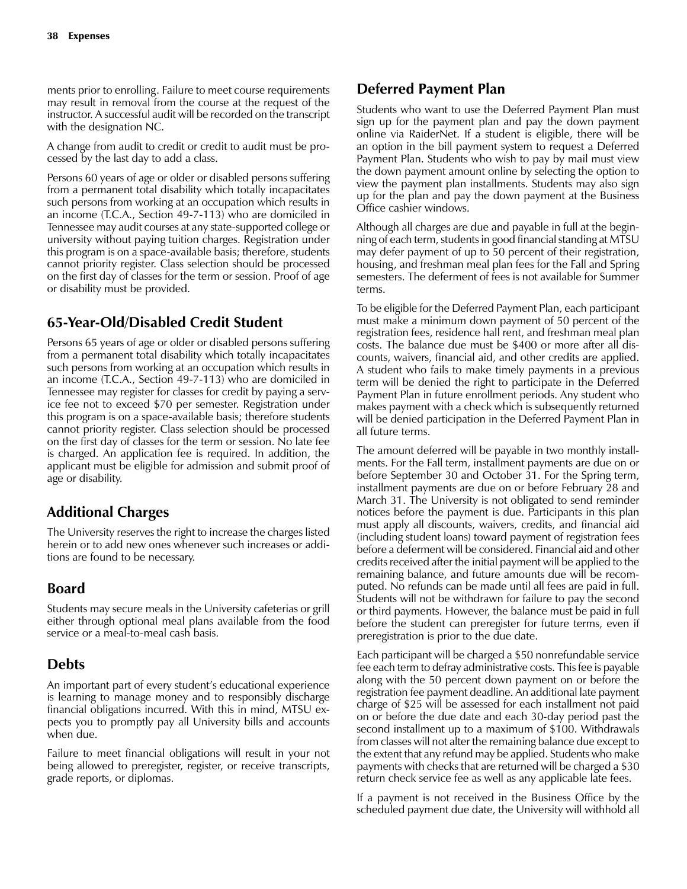ments prior to enrolling. Failure to meet course requirements may result in removal from the course at the request of the instructor. A successful audit will be recorded on the transcript with the designation NC.

A change from audit to credit or credit to audit must be processed by the last day to add a class.

Persons 60 years of age or older or disabled persons suffering from a permanent total disability which totally incapacitates such persons from working at an occupation which results in an income (T.C.A., Section 49-7-113) who are domiciled in Tennessee may audit courses at any state-supported college or university without paying tuition charges. Registration under this program is on a space-available basis; therefore, students cannot priority register. Class selection should be processed on the first day of classes for the term or session. Proof of age or disability must be provided.

## **65-Year-Old/Disabled Credit Student**

Persons 65 years of age or older or disabled persons suffering from a permanent total disability which totally incapacitates such persons from working at an occupation which results in an income (T.C.A., Section 49-7-113) who are domiciled in Tennessee may register for classes for credit by paying a service fee not to exceed \$70 per semester. Registration under this program is on a space-available basis; therefore students cannot priority register. Class selection should be processed on the first day of classes for the term or session. No late fee is charged. An application fee is required. In addition, the applicant must be eligible for admission and submit proof of age or disability.

## **Additional Charges**

The University reserves the right to increase the charges listed herein or to add new ones whenever such increases or additions are found to be necessary.

## **Board**

Students may secure meals in the University cafeterias or grill either through optional meal plans available from the food service or a meal-to-meal cash basis.

## **Debts**

An important part of every student's educational experience is learning to manage money and to responsibly discharge financial obligations incurred. With this in mind, MTSU expects you to promptly pay all University bills and accounts when due.

Failure to meet financial obligations will result in your not being allowed to preregister, register, or receive transcripts, grade reports, or diplomas.

## **Deferred Payment Plan**

Students who want to use the Deferred Payment Plan must sign up for the payment plan and pay the down payment online via RaiderNet. If a student is eligible, there will be an option in the bill payment system to request a Deferred Payment Plan. Students who wish to pay by mail must view the down payment amount online by selecting the option to view the payment plan installments. Students may also sign up for the plan and pay the down payment at the Business Office cashier windows.

Although all charges are due and payable in full at the beginning of each term, students in good financial standing at MTSU may defer payment of up to 50 percent of their registration, housing, and freshman meal plan fees for the Fall and Spring semesters. The deferment of fees is not available for Summer terms.

To be eligible for the Deferred Payment Plan, each participant must make a minimum down payment of 50 percent of the registration fees, residence hall rent, and freshman meal plan costs. The balance due must be \$400 or more after all discounts, waivers, financial aid, and other credits are applied. A student who fails to make timely payments in a previous term will be denied the right to participate in the Deferred Payment Plan in future enrollment periods. Any student who makes payment with a check which is subsequently returned will be denied participation in the Deferred Payment Plan in all future terms.

The amount deferred will be payable in two monthly installments. For the Fall term, installment payments are due on or before September 30 and October 31. For the Spring term, installment payments are due on or before February 28 and March 31. The University is not obligated to send reminder notices before the payment is due. Participants in this plan must apply all discounts, waivers, credits, and financial aid (including student loans) toward payment of registration fees before a deferment will be considered. Financial aid and other credits received after the initial payment will be applied to the remaining balance, and future amounts due will be recomputed. No refunds can be made until all fees are paid in full. Students will not be withdrawn for failure to pay the second or third payments. However, the balance must be paid in full before the student can preregister for future terms, even if preregistration is prior to the due date.

Each participant will be charged a \$50 nonrefundable service fee each term to defray administrative costs. This fee is payable along with the 50 percent down payment on or before the registration fee payment deadline. An additional late payment charge of \$25 will be assessed for each installment not paid on or before the due date and each 30-day period past the second installment up to a maximum of \$100. Withdrawals from classes will not alter the remaining balance due except to the extent that any refund may be applied. Students who make payments with checks that are returned will be charged a \$30 return check service fee as well as any applicable late fees.

If a payment is not received in the Business Office by the scheduled payment due date, the University will withhold all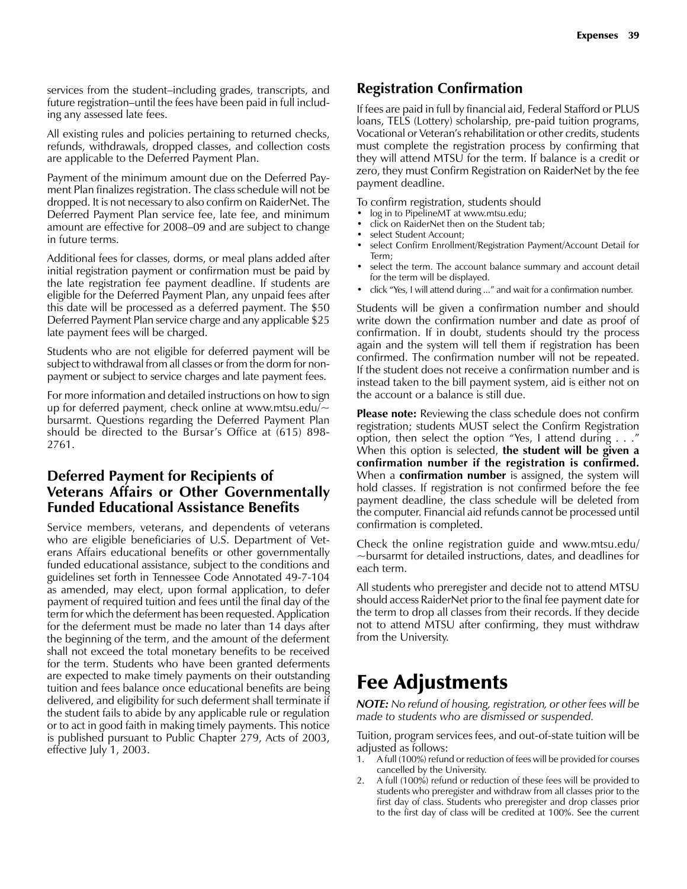services from the student–including grades, transcripts, and future registration–until the fees have been paid in full including any assessed late fees.

All existing rules and policies pertaining to returned checks, refunds, withdrawals, dropped classes, and collection costs are applicable to the Deferred Payment Plan.

Payment of the minimum amount due on the Deferred Payment Plan finalizes registration. The class schedule will not be dropped. It is not necessary to also confirm on RaiderNet. The Deferred Payment Plan service fee, late fee, and minimum amount are effective for 2008–09 and are subject to change in future terms.

Additional fees for classes, dorms, or meal plans added after initial registration payment or confirmation must be paid by the late registration fee payment deadline. If students are eligible for the Deferred Payment Plan, any unpaid fees after this date will be processed as a deferred payment. The \$50 Deferred Payment Plan service charge and any applicable \$25 late payment fees will be charged.

Students who are not eligible for deferred payment will be subject to withdrawal from all classes or from the dorm for nonpayment or subject to service charges and late payment fees.

For more information and detailed instructions on how to sign up for deferred payment, check online at www.mtsu.edu/ $\sim$ bursarmt. Questions regarding the Deferred Payment Plan should be directed to the Bursar's Office at (615) 898- 2761.

## **Deferred Payment for Recipients of Veterans Affairs or Other Governmentally Funded Educational Assistance Benefits**

Service members, veterans, and dependents of veterans who are eligible beneficiaries of U.S. Department of Veterans Affairs educational benefits or other governmentally funded educational assistance, subject to the conditions and guidelines set forth in Tennessee Code Annotated 49-7-104 as amended, may elect, upon formal application, to defer payment of required tuition and fees until the final day of the term for which the deferment has been requested. Application for the deferment must be made no later than 14 days after the beginning of the term, and the amount of the deferment shall not exceed the total monetary benefits to be received for the term. Students who have been granted deferments are expected to make timely payments on their outstanding tuition and fees balance once educational benefits are being delivered, and eligibility for such deferment shall terminate if the student fails to abide by any applicable rule or regulation or to act in good faith in making timely payments. This notice is published pursuant to Public Chapter 279, Acts of 2003, effective July 1, 2003.

## **Registration Confirmation**

If fees are paid in full by financial aid, Federal Stafford or PLUS loans, TELS (Lottery) scholarship, pre-paid tuition programs, Vocational or Veteran's rehabilitation or other credits, students must complete the registration process by confirming that they will attend MTSU for the term. If balance is a credit or zero, they must Confirm Registration on RaiderNet by the fee payment deadline.

To confirm registration, students should

- log in to PipelineMT at www.mtsu.edu;
- click on RaiderNet then on the Student tab;
- select Student Account;
- select Confirm Enrollment/Registration Payment/Account Detail for Term;
- select the term. The account balance summary and account detail for the term will be displayed.
- click "Yes, I will attend during ..." and wait for a confirmation number.

Students will be given a confirmation number and should write down the confirmation number and date as proof of confirmation. If in doubt, students should try the process again and the system will tell them if registration has been confirmed. The confirmation number will not be repeated. If the student does not receive a confirmation number and is instead taken to the bill payment system, aid is either not on the account or a balance is still due.

**Please note:** Reviewing the class schedule does not confirm registration; students MUST select the Confirm Registration option, then select the option "Yes, I attend during . . ." When this option is selected, **the student will be given a confirmation number if the registration is confirmed.** When a **confirmation number** is assigned, the system will hold classes. If registration is not confirmed before the fee payment deadline, the class schedule will be deleted from the computer. Financial aid refunds cannot be processed until confirmation is completed.

Check the online registration guide and www.mtsu.edu/ ~bursarmt for detailed instructions, dates, and deadlines for each term.

All students who preregister and decide not to attend MTSU should access RaiderNet prior to the final fee payment date for the term to drop all classes from their records. If they decide not to attend MTSU after confirming, they must withdraw from the University.

## Fee Adjustments

*NOTE: No refund of housing, registration, or other fees will be made to students who are dismissed or suspended.*

Tuition, program services fees, and out-of-state tuition will be adjusted as follows:

- 1. A full (100%) refund or reduction of fees will be provided for courses cancelled by the University.
- 2. A full (100%) refund or reduction of these fees will be provided to students who preregister and withdraw from all classes prior to the first day of class. Students who preregister and drop classes prior to the first day of class will be credited at 100%. See the current